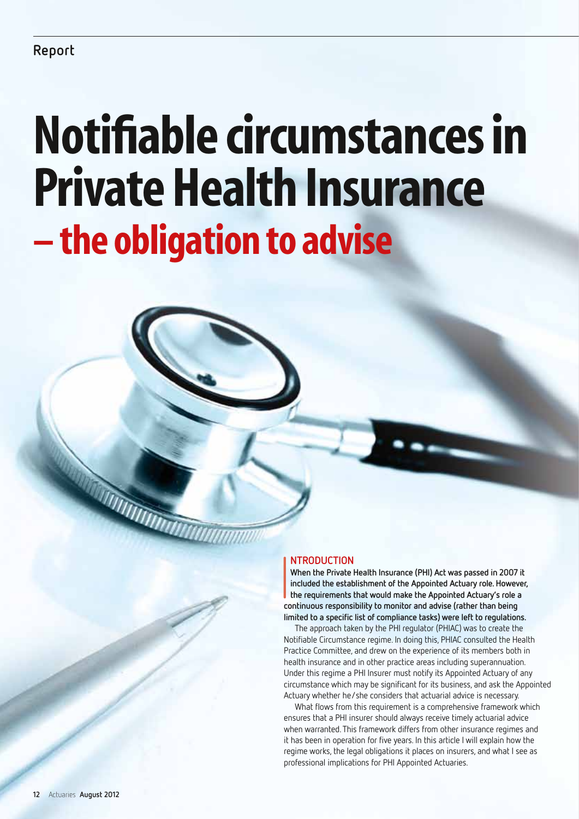# Notifiable circumstances in Private Health Insurance – the obligation to advise

# **ntroduction**

 $\frac{1}{2}$ **When the Private Health Insurance (PHI) Act was passed in 2007 it included the establishment of the Appointed Actuary role. However, the requirements that would make the Appointed Actuary's role a continuous responsibility to monitor and advise (rather than being limited to a specific list of compliance tasks) were left to regulations.**

The approach taken by the PHI regulator (PHIAC) was to create the Notifiable Circumstance regime. In doing this, PHIAC consulted the Health Practice Committee, and drew on the experience of its members both in health insurance and in other practice areas including superannuation. Under this regime a PHI Insurer must notify its Appointed Actuary of any circumstance which may be significant for its business, and ask the Appointed Actuary whether he/she considers that actuarial advice is necessary.

What flows from this requirement is a comprehensive framework which ensures that a PHI insurer should always receive timely actuarial advice when warranted. This framework differs from other insurance regimes and it has been in operation for five years. In this article I will explain how the regime works, the legal obligations it places on insurers, and what I see as professional implications for PHI Appointed Actuaries.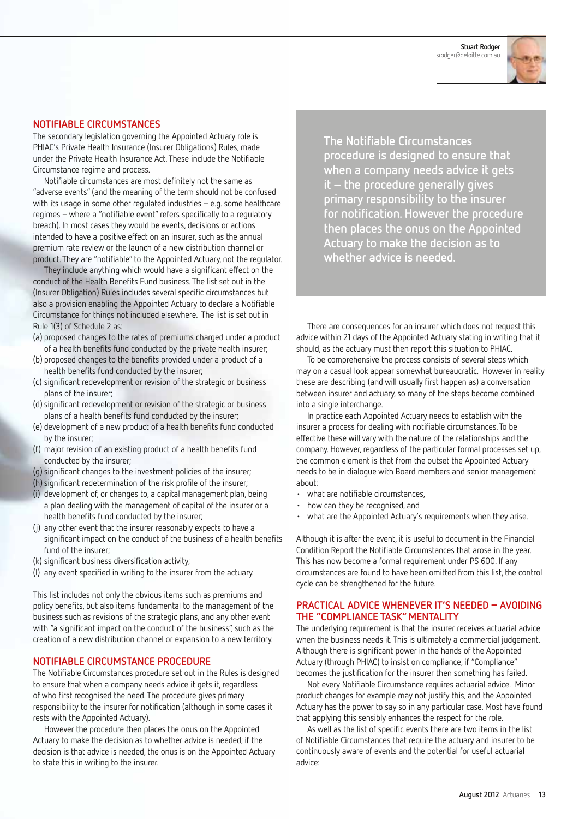**Stuart Rodger**  srodger@deloitte.com.au



#### **Notifiable Circumstances**

The secondary legislation governing the Appointed Actuary role is PHIAC's Private Health Insurance (Insurer Obligations) Rules, made under the Private Health Insurance Act. These include the Notifiable Circumstance regime and process.

Notifiable circumstances are most definitely not the same as "adverse events" (and the meaning of the term should not be confused with its usage in some other regulated industries – e.g. some healthcare regimes – where a "notifiable event" refers specifically to a regulatory breach). In most cases they would be events, decisions or actions intended to have a positive effect on an insurer, such as the annual premium rate review or the launch of a new distribution channel or product. They are "notifiable" to the Appointed Actuary, not the regulator.

They include anything which would have a significant effect on the conduct of the Health Benefits Fund business. The list set out in the (Insurer Obligation) Rules includes several specific circumstances but also a provision enabling the Appointed Actuary to declare a Notifiable Circumstance for things not included elsewhere. The list is set out in Rule 1(3) of Schedule 2 as:

- (a) proposed changes to the rates of premiums charged under a product of a health benefits fund conducted by the private health insurer;
- (b) proposed changes to the benefits provided under a product of a health benefits fund conducted by the insurer;
- (c) significant redevelopment or revision of the strategic or business plans of the insurer;
- (d) significant redevelopment or revision of the strategic or business plans of a health benefits fund conducted by the insurer;
- (e) development of a new product of a health benefits fund conducted by the insurer;
- (f) major revision of an existing product of a health benefits fund conducted by the insurer;
- (q) significant changes to the investment policies of the insurer;
- (h) significant redetermination of the risk profile of the insurer;
- (i) development of, or changes to, a capital management plan, being a plan dealing with the management of capital of the insurer or a health benefits fund conducted by the insurer;
- (j) any other event that the insurer reasonably expects to have a significant impact on the conduct of the business of a health benefits fund of the insurer:
- (k) significant business diversification activity;
- (l) any event specified in writing to the insurer from the actuary.

This list includes not only the obvious items such as premiums and policy benefits, but also items fundamental to the management of the business such as revisions of the strategic plans, and any other event with "a significant impact on the conduct of the business", such as the creation of a new distribution channel or expansion to a new territory.

## **Notifiable Circumstance procedure**

The Notifiable Circumstances procedure set out in the Rules is designed to ensure that when a company needs advice it gets it, regardless of who first recognised the need. The procedure gives primary responsibility to the insurer for notification (although in some cases it rests with the Appointed Actuary).

However the procedure then places the onus on the Appointed Actuary to make the decision as to whether advice is needed; if the decision is that advice is needed, the onus is on the Appointed Actuary to state this in writing to the insurer.

**The Notifiable Circumstances procedure is designed to ensure that when a company needs advice it gets it – the procedure generally gives primary responsibility to the insurer for notification. However the procedure then places the onus on the Appointed Actuary to make the decision as to whether advice is needed.**

There are consequences for an insurer which does not request this advice within 21 days of the Appointed Actuary stating in writing that it should, as the actuary must then report this situation to PHIAC.

To be comprehensive the process consists of several steps which may on a casual look appear somewhat bureaucratic. However in reality these are describing (and will usually first happen as) a conversation between insurer and actuary, so many of the steps become combined into a single interchange.

In practice each Appointed Actuary needs to establish with the insurer a process for dealing with notifiable circumstances. To be effective these will vary with the nature of the relationships and the company. However, regardless of the particular formal processes set up, the common element is that from the outset the Appointed Actuary needs to be in dialogue with Board members and senior management about:

- • what are notifiable circumstances,
- • how can they be recognised, and
- what are the Appointed Actuary's requirements when they arise.

Although it is after the event, it is useful to document in the Financial Condition Report the Notifiable Circumstances that arose in the year. This has now become a formal requirement under PS 600. If any circumstances are found to have been omitted from this list, the control cycle can be strengthened for the future.

### **Practical advice whenever it's needed – avoiding the "Compliance task" mentality**

The underlying requirement is that the insurer receives actuarial advice when the business needs it. This is ultimately a commercial judgement. Although there is significant power in the hands of the Appointed Actuary (through PHIAC) to insist on compliance, if "Compliance" becomes the justification for the insurer then something has failed.

Not every Notifiable Circumstance requires actuarial advice. Minor product changes for example may not justify this, and the Appointed Actuary has the power to say so in any particular case. Most have found that applying this sensibly enhances the respect for the role.

As well as the list of specific events there are two items in the list of Notifiable Circumstances that require the actuary and insurer to be continuously aware of events and the potential for useful actuarial advice: